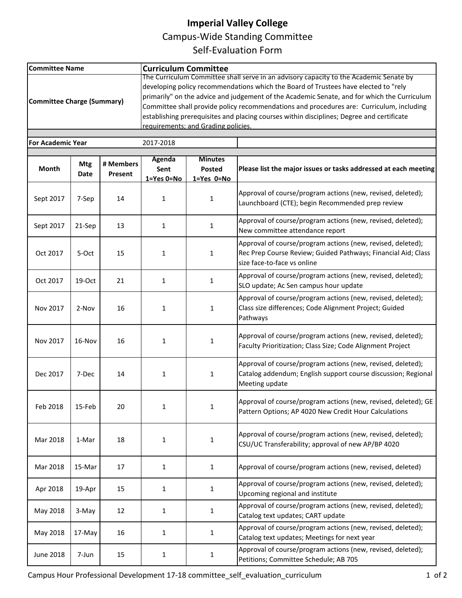## **Imperial Valley College**

Campus-Wide Standing Committee

Self-Evaluation Form

| <b>Committee Name</b>                 |                    |                      | <b>Curriculum Committee</b>                                                                                                                                                                                                                                                                                                                                                                                                                                                                                  |                                                |                                                                                                                                                             |  |  |  |  |
|---------------------------------------|--------------------|----------------------|--------------------------------------------------------------------------------------------------------------------------------------------------------------------------------------------------------------------------------------------------------------------------------------------------------------------------------------------------------------------------------------------------------------------------------------------------------------------------------------------------------------|------------------------------------------------|-------------------------------------------------------------------------------------------------------------------------------------------------------------|--|--|--|--|
| <b>Committee Charge (Summary)</b>     |                    |                      | The Curriculum Committee shall serve in an advisory capacity to the Academic Senate by<br>developing policy recommendations which the Board of Trustees have elected to "rely<br>primarily" on the advice and judgement of the Academic Senate, and for which the Curriculum<br>Committee shall provide policy recommendations and procedures are: Curriculum, including<br>establishing prerequisites and placing courses within disciplines; Degree and certificate<br>requirements: and Grading policies. |                                                |                                                                                                                                                             |  |  |  |  |
| <b>For Academic Year</b><br>2017-2018 |                    |                      |                                                                                                                                                                                                                                                                                                                                                                                                                                                                                                              |                                                |                                                                                                                                                             |  |  |  |  |
| Month                                 | <b>Mtg</b><br>Date | # Members<br>Present | <b>Agenda</b><br>Sent<br>$1 = Yes$ $0 = No$                                                                                                                                                                                                                                                                                                                                                                                                                                                                  | <b>Minutes</b><br>Posted<br>$1 = Yes$ $0 = No$ | Please list the major issues or tasks addressed at each meeting                                                                                             |  |  |  |  |
| Sept 2017                             | 7-Sep              | 14                   | 1                                                                                                                                                                                                                                                                                                                                                                                                                                                                                                            | 1                                              | Approval of course/program actions (new, revised, deleted);<br>Launchboard (CTE); begin Recommended prep review                                             |  |  |  |  |
| Sept 2017                             | 21-Sep             | 13                   | 1                                                                                                                                                                                                                                                                                                                                                                                                                                                                                                            | 1                                              | Approval of course/program actions (new, revised, deleted);<br>New committee attendance report                                                              |  |  |  |  |
| Oct 2017                              | 5-Oct              | 15                   | 1                                                                                                                                                                                                                                                                                                                                                                                                                                                                                                            | $\mathbf{1}$                                   | Approval of course/program actions (new, revised, deleted);<br>Rec Prep Course Review; Guided Pathways; Financial Aid; Class<br>size face-to-face vs online |  |  |  |  |
| Oct 2017                              | 19-Oct             | 21                   | $\mathbf{1}$                                                                                                                                                                                                                                                                                                                                                                                                                                                                                                 | $\mathbf{1}$                                   | Approval of course/program actions (new, revised, deleted);<br>SLO update; Ac Sen campus hour update                                                        |  |  |  |  |
| Nov 2017                              | 2-Nov              | 16                   | 1                                                                                                                                                                                                                                                                                                                                                                                                                                                                                                            | 1                                              | Approval of course/program actions (new, revised, deleted);<br>Class size differences; Code Alignment Project; Guided<br>Pathways                           |  |  |  |  |
| Nov 2017                              | 16-Nov             | 16                   | $\mathbf{1}$                                                                                                                                                                                                                                                                                                                                                                                                                                                                                                 | 1                                              | Approval of course/program actions (new, revised, deleted);<br>Faculty Prioritization; Class Size; Code Alignment Project                                   |  |  |  |  |
| Dec 2017                              | 7-Dec              | 14                   | $\mathbf{1}$                                                                                                                                                                                                                                                                                                                                                                                                                                                                                                 | $\mathbf 1$                                    | Approval of course/program actions (new, revised, deleted);<br>Catalog addendum; English support course discussion; Regional<br>Meeting update              |  |  |  |  |
| Feb 2018                              | 15-Feb             | 20                   | $\mathbf{1}$                                                                                                                                                                                                                                                                                                                                                                                                                                                                                                 | 1                                              | Approval of course/program actions (new, revised, deleted); GE<br>Pattern Options; AP 4020 New Credit Hour Calculations                                     |  |  |  |  |
| Mar 2018                              | 1-Mar              | 18                   | $\mathbf{1}$                                                                                                                                                                                                                                                                                                                                                                                                                                                                                                 | $\mathbf{1}$                                   | Approval of course/program actions (new, revised, deleted);<br>CSU/UC Transferability; approval of new AP/BP 4020                                           |  |  |  |  |
| Mar 2018                              | 15-Mar             | 17                   | $\mathbf{1}$                                                                                                                                                                                                                                                                                                                                                                                                                                                                                                 | $\mathbf{1}$                                   | Approval of course/program actions (new, revised, deleted)                                                                                                  |  |  |  |  |
| Apr 2018                              | 19-Apr             | 15                   | $\mathbf{1}$                                                                                                                                                                                                                                                                                                                                                                                                                                                                                                 | $\mathbf{1}$                                   | Approval of course/program actions (new, revised, deleted);<br>Upcoming regional and institute                                                              |  |  |  |  |
| May 2018                              | 3-May              | 12                   | $\mathbf{1}$                                                                                                                                                                                                                                                                                                                                                                                                                                                                                                 | 1                                              | Approval of course/program actions (new, revised, deleted);<br>Catalog text updates; CART update                                                            |  |  |  |  |
| May 2018                              | 17-May             | 16                   | $\mathbf{1}$                                                                                                                                                                                                                                                                                                                                                                                                                                                                                                 | $\mathbf{1}$                                   | Approval of course/program actions (new, revised, deleted);<br>Catalog text updates; Meetings for next year                                                 |  |  |  |  |
| <b>June 2018</b>                      | 7-Jun              | 15                   | $\mathbf{1}$                                                                                                                                                                                                                                                                                                                                                                                                                                                                                                 | $\mathbf{1}$                                   | Approval of course/program actions (new, revised, deleted);<br>Petitions; Committee Schedule; AB 705                                                        |  |  |  |  |

Campus Hour Professional Development 17-18 committee\_self\_evaluation\_curriculum 1 of 2